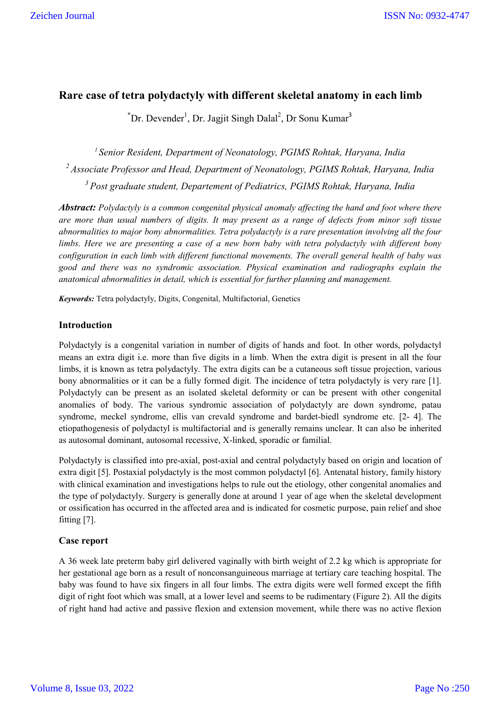# **Rare case of tetra polydactyly with different skeletal anatomy in each limb**

Dr. Devender<sup>1</sup>, Dr. Jagjit Singh Dalal<sup>2</sup>, Dr Sonu Kumar<sup>3</sup>

*1 Senior Resident, Department of Neonatology, PGIMS Rohtak, Haryana, India 2 Associate Professor and Head, Department of Neonatology, PGIMS Rohtak, Haryana, India 3 Post graduate student, Departement of Pediatrics, PGIMS Rohtak, Haryana, India*

*Abstract: Polydactyly is a common congenital physical anomaly affecting the hand and foot where there are more than usual numbers of digits. It may present as a range of defects from minor soft tissue abnormalities to major bony abnormalities. Tetra polydactyly is a rare presentation involving all the four limbs. Here we are presenting a case of a new born baby with tetra polydactyly with different bony configuration in each limb with different functional movements. The overall general health of baby was good and there was no syndromic association. Physical examination and radiographs explain the anatomical abnormalities in detail, which is essential for further planning and management.*

*Keywords:* Tetra polydactyly, Digits, Congenital, Multifactorial, Genetics

# **Introduction**

 **\***

Polydactyly is a congenital variation in number of digits of hands and foot. In other words, polydactyl means an extra digit i.e. more than five digits in a limb. When the extra digit is present in all the four limbs, it is known as tetra polydactyly. The extra digits can be a cutaneous soft tissue projection, various bony abnormalities or it can be a fully formed digit. The incidence of tetra polydactyly is very rare [1]. Polydactyly can be present as an isolated skeletal deformity or can be present with other congenital anomalies of body. The various syndromic association of polydactyly are down syndrome, patau syndrome, meckel syndrome, ellis van crevald syndrome and bardet-biedl syndrome etc. [2- 4]. The etiopathogenesis of polydactyl is multifactorial and is generally remains unclear. It can also be inherited as autosomal dominant, autosomal recessive, X-linked, sporadic or familial.

Polydactyly is classified into pre-axial, post-axial and central polydactyly based on origin and location of extra digit [5]. Postaxial polydactyly is the most common polydactyl [6]. Antenatal history, family history with clinical examination and investigations helps to rule out the etiology, other congenital anomalies and the type of polydactyly. Surgery is generally done at around 1 year of age when the skeletal development or ossification has occurred in the affected area and is indicated for cosmetic purpose, pain relief and shoe fitting [7].

## **Case report**

A 36 week late preterm baby girl delivered vaginally with birth weight of 2.2 kg which is appropriate for her gestational age born as a result of nonconsanguineous marriage at tertiary care teaching hospital. The baby was found to have six fingers in all four limbs. The extra digits were well formed except the fifth digit of right foot which was small, at a lower level and seems to be rudimentary (Figure 2). All the digits of right hand had active and passive flexion and extension movement, while there was no active flexion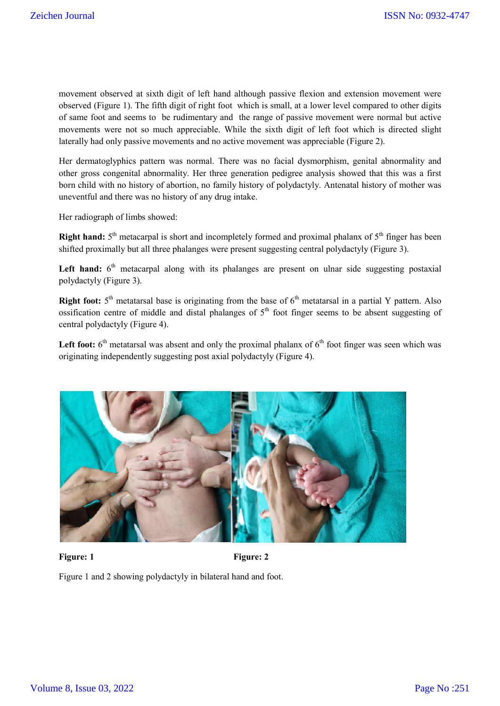movement observed at sixth digit of left hand although passive flexion and extension movement were observed (Figure 1). The fifth digit of right foot which is small, at a lower level compared to other digits of same foot and seems to be rudimentary and the range of passive movement were normal but active movements were not so much appreciable. While the sixth digit of left foot which is directed slight laterally had only passive movements and no active movement was appreciable (Figure 2).

Her dermatoglyphics pattern was normal. There was no facial dysmorphism, genital abnormality and other gross congenital abnormality. Her three generation pedigree analysis showed that this was a first born child with no history of abortion, no family history of polydactyly. Antenatal history of mother was uneventful and there was no history of any drug intake.

Her radiograph of limbs showed:

**Right hand:**  $5<sup>th</sup>$  metacarpal is short and incompletely formed and proximal phalanx of  $5<sup>th</sup>$  finger has been shifted proximally but all three phalanges were present suggesting central polydactyly (Figure 3).

Left hand:  $6<sup>th</sup>$  metacarpal along with its phalanges are present on ulnar side suggesting postaxial polydactyly (Figure 3).

**Right foot:**  $5<sup>th</sup>$  metatarsal base is originating from the base of  $6<sup>th</sup>$  metatarsal in a partial Y pattern. Also ossification centre of middle and distal phalanges of  $5<sup>th</sup>$  foot finger seems to be absent suggesting of central polydactyly (Figure 4).

Left foot:  $6<sup>th</sup>$  metatarsal was absent and only the proximal phalanx of  $6<sup>th</sup>$  foot finger was seen which was originating independently suggesting post axial polydactyly (Figure 4).



#### Figure: 1 Figure: 2

Figure 1 and 2 showing polydactyly in bilateral hand and foot.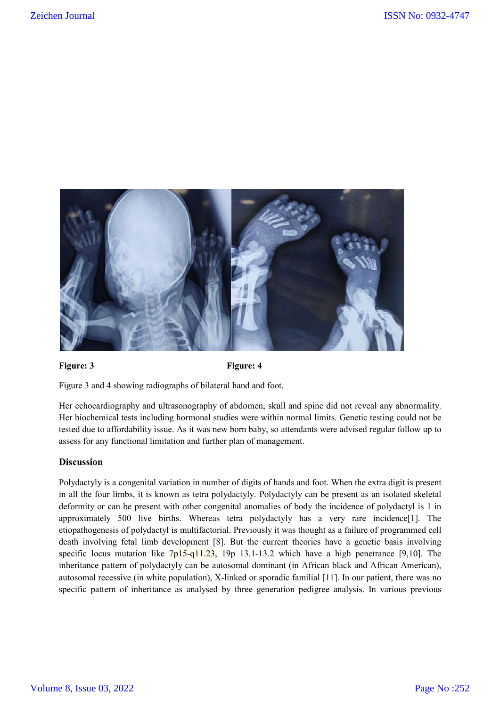

## Figure: 3 Figure: 4

Figure 3 and 4 showing radiographs of bilateral hand and foot.

Her echocardiography and ultrasonography of abdomen, skull and spine did not reveal any abnormality. Her biochemical tests including hormonal studies were within normal limits. Genetic testing could not be tested due to affordability issue. As it was new born baby, so attendants were advised regular follow up to assess for any functional limitation and further plan of management.

# **Discussion**

Polydactyly is a congenital variation in number of digits of hands and foot. When the extra digit is present in all the four limbs, it is known as tetra polydactyly. Polydactyly can be present as an isolated skeletal deformity or can be present with other congenital anomalies of body the incidence of polydactyl is 1 in approximately 500 live births. Whereas tetra polydactyly has a very rare incidence[1]. The etiopathogenesis of polydactyl is multifactorial. Previously it was thought as a failure of programmed cell death involving fetal limb development [8]. But the current theories have a genetic basis involving specific locus mutation like 7p15-q11.23, 19p 13.1-13.2 which have a high penetrance [9,10]. The inheritance pattern of polydactyly can be autosomal dominant (in African black and African American), autosomal recessive (in white population), X-linked or sporadic familial [11]. In our patient, there was no specific pattern of inheritance as analysed by three generation pedigree analysis. In various previous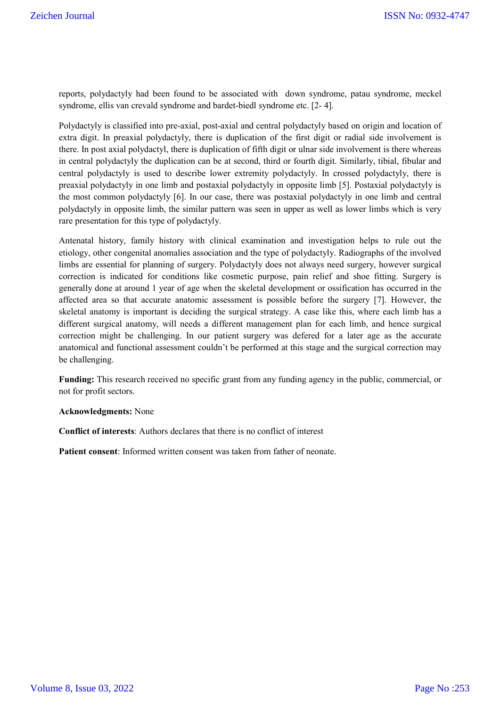reports, polydactyly had been found to be associated with down syndrome, patau syndrome, meckel syndrome, ellis van crevald syndrome and bardet-biedl syndrome etc. [2- 4].

Polydactyly is classified into pre-axial, post-axial and central polydactyly based on origin and location of extra digit. In preaxial polydactyly, there is duplication of the first digit or radial side involvement is there. In post axial polydactyl, there is duplication of fifth digit or ulnar side involvement is there whereas in central polydactyly the duplication can be at second, third or fourth digit. Similarly, tibial, fibular and central polydactyly is used to describe lower extremity polydactyly. In crossed polydactyly, there is preaxial polydactyly in one limb and postaxial polydactyly in opposite limb [5]. Postaxial polydactyly is the most common polydactyly [6]. In our case, there was postaxial polydactyly in one limb and central polydactyly in opposite limb, the similar pattern was seen in upper as well as lower limbs which is very rare presentation for this type of polydactyly.

Antenatal history, family history with clinical examination and investigation helps to rule out the etiology, other congenital anomalies association and the type of polydactyly. Radiographs of the involved limbs are essential for planning of surgery. Polydactyly does not always need surgery, however surgical correction is indicated for conditions like cosmetic purpose, pain relief and shoe fitting. Surgery is generally done at around 1 year of age when the skeletal development or ossification has occurred in the affected area so that accurate anatomic assessment is possible before the surgery [7]. However, the skeletal anatomy is important is deciding the surgical strategy. A case like this, where each limb has a different surgical anatomy, will needs a different management plan for each limb, and hence surgical correction might be challenging. In our patient surgery was defered for a later age as the accurate anatomical and functional assessment couldn't be performed at this stage and the surgical correction may be challenging.

**Funding:** This research received no specific grant from any funding agency in the public, commercial, or not for profit sectors.

#### **Acknowledgments:** None

**Conflict of interests**: Authors declares that there is no conflict of interest

**Patient consent**: Informed written consent was taken from father of neonate.